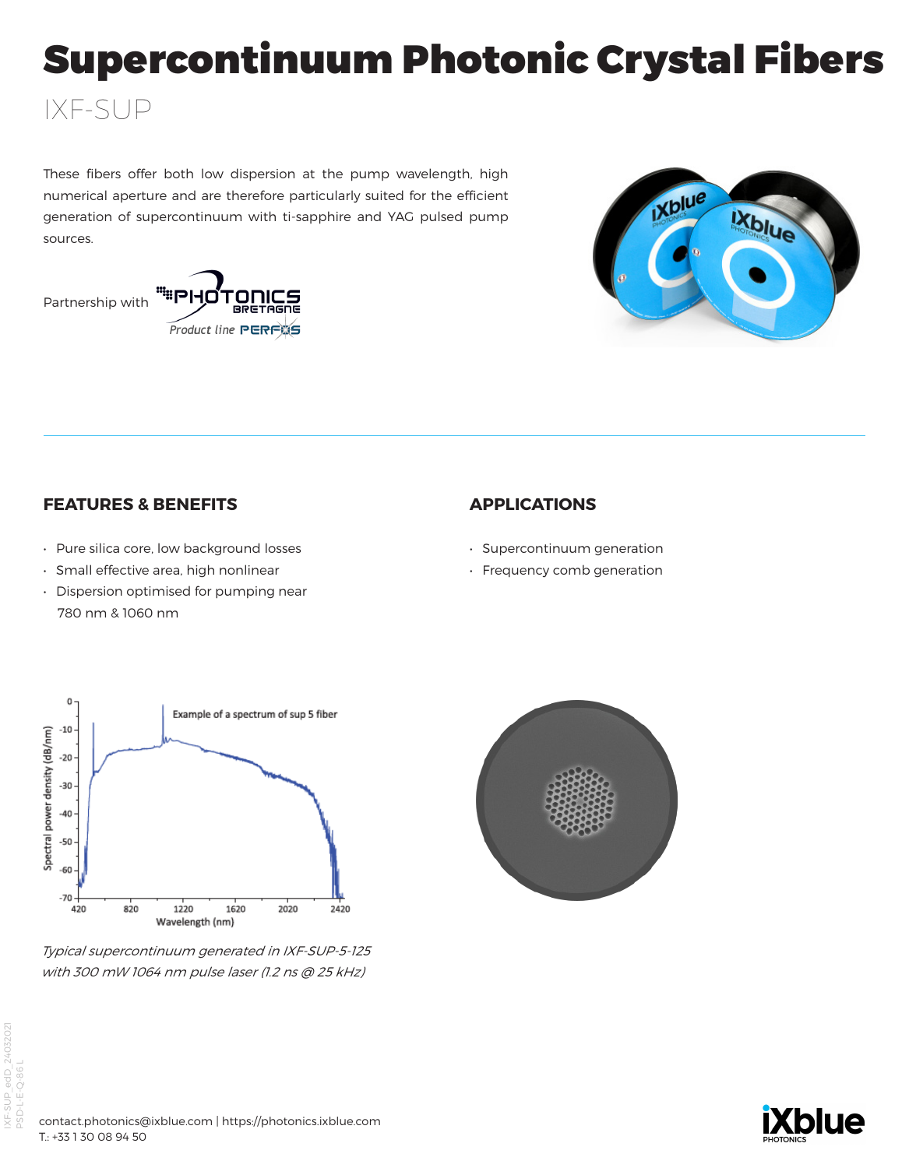# Supercontinuum Photonic Crystal Fibers

## These fibers offer both low dispersion at the pump wavelength, high numerical aperture and are therefore particularly suited for the efficient generation of supercontinuum with ti-sapphire and YAG pulsed pump sources.



IXF-SUP

**Product line PERFAS** 



## **FEATURES & BENEFITS**

- Pure silica core, low background losses
- Small effective area, high nonlinear
- Dispersion optimised for pumping near 780 nm & 1060 nm

## **APPLICATIONS**

- Supercontinuum generation
- Frequency comb generation



Typical supercontinuum generated in IXF-SUP-5-125 with 300 mW 1064 nm pulse laser (1.2 ns @ 25 kHz)